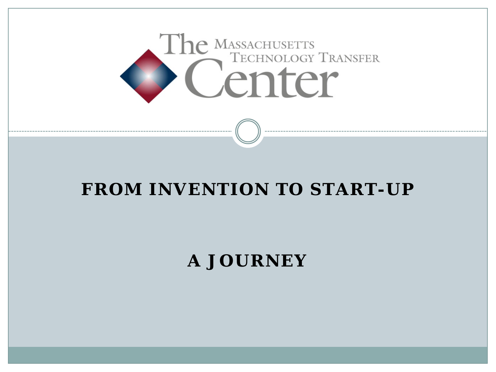

#### **FROM INVENTION TO START-UP**

#### **A JOURNEY**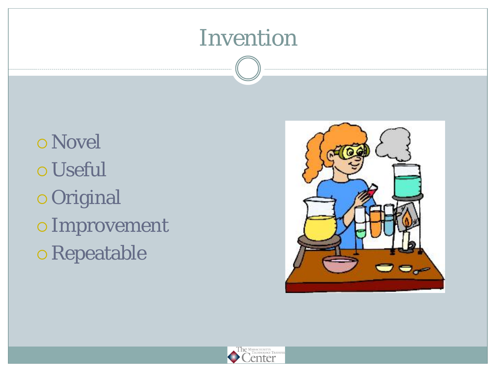### Invention

o Novel Useful Original Improvement Repeatable



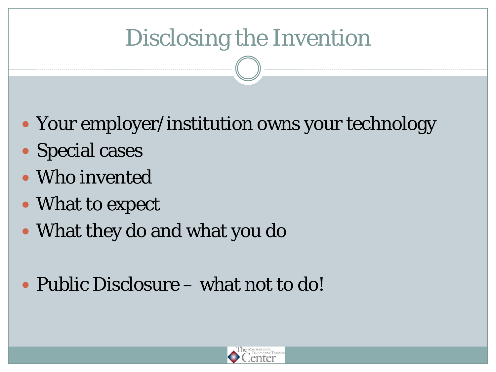# Disclosing the Invention

- Your employer/institution owns your technology
- Special cases
- Who invented
- What to expect
- What they do and what you do
- Public Disclosure what not to do!

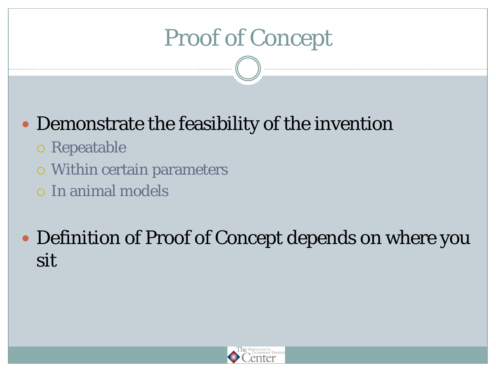# Proof of Concept

#### Demonstrate the feasibility of the invention

- Repeatable
- Within certain parameters
- In animal models

#### Definition of Proof of Concept depends on where you sit

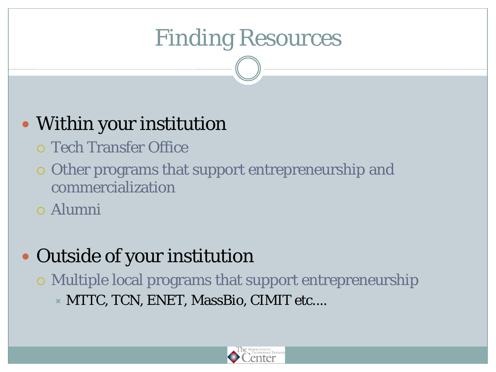# Finding Resources

#### • Within your institution

- Tech Transfer Office
- Other programs that support entrepreneurship and commercialization
- Alumni

#### Outside of your institution

 Multiple local programs that support entrepreneurship MTTC, TCN, ENET, MassBio, CIMIT etc....

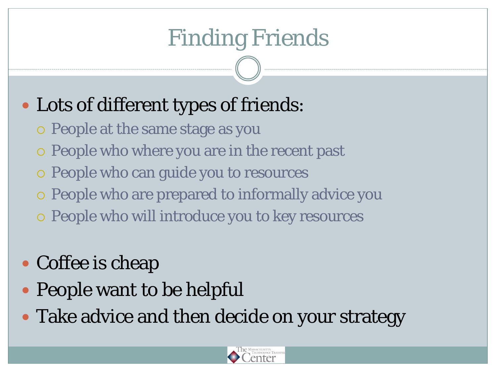# Finding Friends

### Lots of different types of friends:

- People at the same stage as you
- People who where you are in the recent past
- People who can guide you to resources
- People who are prepared to informally advice you
- People who will introduce you to key resources
- Coffee is cheap
- People want to be helpful
- Take advice and then decide on your strategy

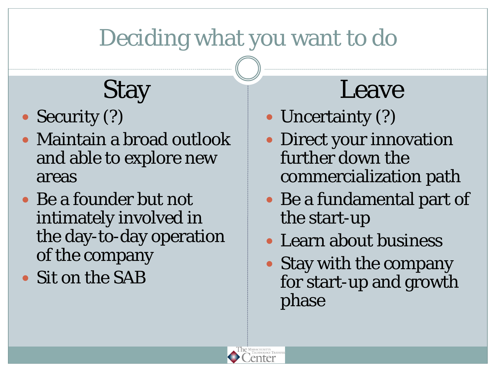# Deciding what you want to do

# **Stay**

- Security (?)
- Maintain a broad outlook and able to explore new areas
- Be a founder but not intimately involved in the day-to-day operation of the company
- Sit on the SAB

# Leave

- Uncertainty (?)
- Direct your innovation further down the commercialization path
- Be a fundamental part of the start-up
- Learn about business
- Stay with the company for start-up and growth phase

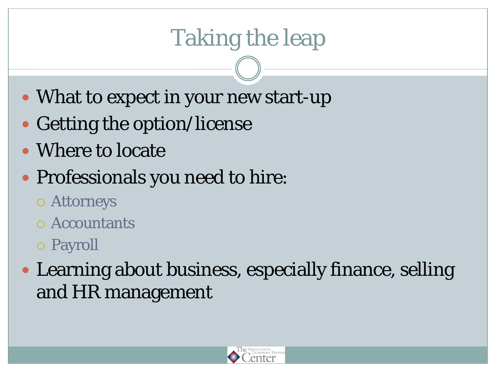# Taking the leap

- What to expect in your new start-up
- Getting the option/license
- Where to locate

### Professionals you need to hire:

- Attorneys
- Accountants
- Payroll
- Learning about business, especially finance, selling and HR management

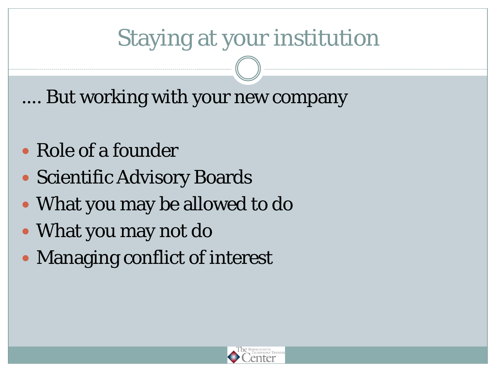## Staying at your institution

.... But working with your new company

- Role of a founder
- Scientific Advisory Boards
- What you may be allowed to do
- What you may not do
- Managing conflict of interest

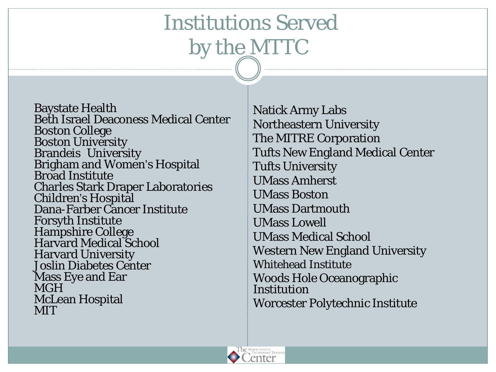## Institutions Served by the MTTC

Baystate Health Beth Israel Deaconess Medical Center Boston College Boston University Brandeis University<br>Brigham and Women's Hospital<br>Broad Institute Charles Stark Draper Laboratories Children's Hospital Dana-Farber Cancer Institute Forsyth Institute Hampshire College Harvard Medical School Harvard University Joslin Diabetes Center Mass Eye and Ear **MGH** McLean Hospital **MIT** 

Natick Army Labs Northeastern University The MITRE Corporation Tufts New England Medical Center Tufts University UMass Amherst UMass Boston UMass Dartmouth UMass Lowell UMass Medical School Western New England University Whitehead Institute Woods Hole Oceanographic Institution Worcester Polytechnic Institute